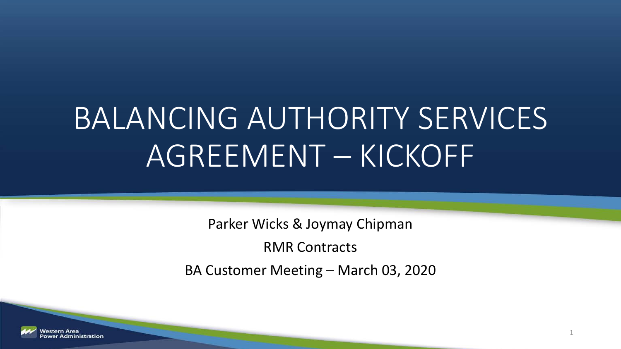# BALANCING AUTHORITY SERVICES AGREEMENT – KICKOFF

Parker Wicks & Joymay Chipman

RMR Contracts

BA Customer Meeting – March 03, 2020

1

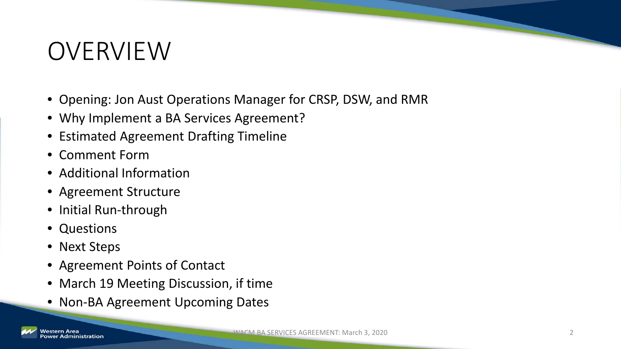### OVERVIEW

- Opening: Jon Aust Operations Manager for CRSP, DSW, and RMR
- Why Implement a BA Services Agreement?
- Estimated Agreement Drafting Timeline
- Comment Form
- Additional Information
- Agreement Structure
- Initial Run-through
- Questions
- Next Steps
- Agreement Points of Contact
- March 19 Meeting Discussion, if time
- Non-BA Agreement Upcoming Dates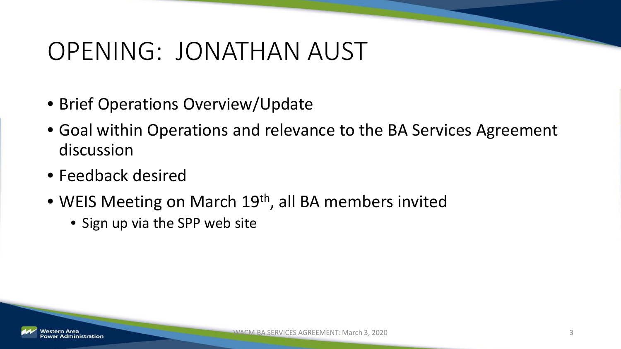### OPENING: JONATHAN AUST

- Brief Operations Overview/Update
- Goal within Operations and relevance to the BA Services Agreement discussion
- Feedback desired
- WEIS Meeting on March 19<sup>th</sup>, all BA members invited
	- Sign up via the SPP web site

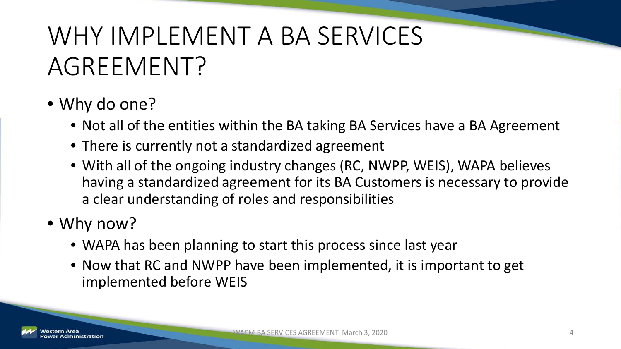## WHY IMPLEMENT A BA SERVICES AGREEMENT?

### • Why do one?

- Not all of the entities within the BA taking BA Services have a BA Agreement
- There is currently not a standardized agreement
- With all of the ongoing industry changes (RC, NWPP, WEIS), WAPA believes having a standardized agreement for its BA Customers is necessary to provide a clear understanding of roles and responsibilities

### • Why now?

- WAPA has been planning to start this process since last year
- Now that RC and NWPP have been implemented, it is important to get implemented before WEIS

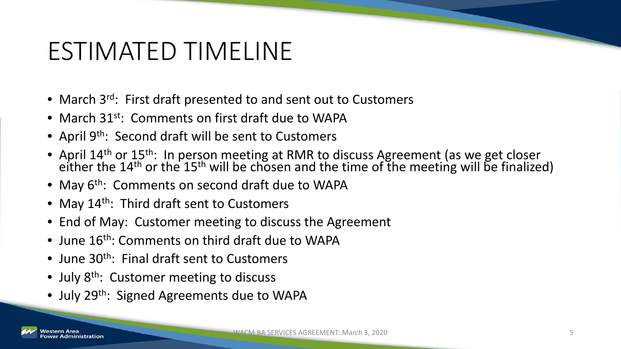### ESTIMATED TIMELINE

- March 3<sup>rd</sup>: First draft presented to and sent out to Customers
- March 31<sup>st</sup>: Comments on first draft due to WAPA
- April 9<sup>th</sup>: Second draft will be sent to Customers
- April  $14^{th}$  or  $15^{th}$ : In person meeting at RMR to discuss Agreement (as we get closer either the  $14^{th}$  or the  $15^{th}$  will be chosen and the time of the meeting will be finalized)
- May 6<sup>th</sup>: Comments on second draft due to WAPA
- May 14<sup>th</sup>: Third draft sent to Customers
- End of May: Customer meeting to discuss the Agreement
- June 16<sup>th</sup>: Comments on third draft due to WAPA
- June  $30<sup>th</sup>$ : Final draft sent to Customers
- July 8<sup>th</sup>: Customer meeting to discuss
- July 29<sup>th</sup>: Signed Agreements due to WAPA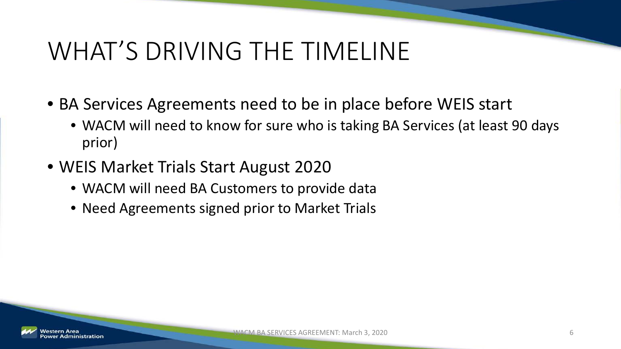### WHAT'S DRIVING THE TIMELINE

- BA Services Agreements need to be in place before WEIS start
	- WACM will need to know for sure who is taking BA Services (at least 90 days prior)
- WEIS Market Trials Start August 2020
	- WACM will need BA Customers to provide data
	- Need Agreements signed prior to Market Trials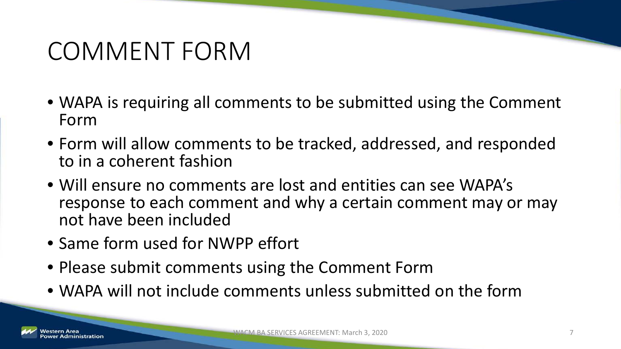### COMMENT FORM

- WAPA is requiring all comments to be submitted using the Comment Form
- Form will allow comments to be tracked, addressed, and responded to in a coherent fashion
- Will ensure no comments are lost and entities can see WAPA's response to each comment and why a certain comment may or may not have been included
- Same form used for NWPP effort
- Please submit comments using the Comment Form
- WAPA will not include comments unless submitted on the form

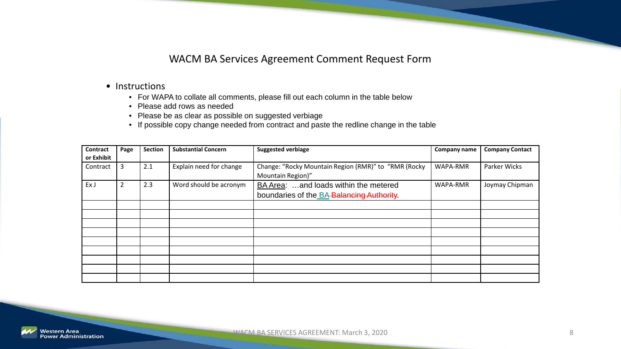#### WACM BA Services Agreement Comment Request Form

#### • Instructions

- For WAPA to collate all comments, please fill out each column in the table below
- Please add rows as needed
- Please be as clear as possible on suggested verbiage
- If possible copy change needed from contract and paste the redline change in the table

| Contract   | Page           | Section | <b>Substantial Concern</b> | <b>Suggested verbiage</b>                            | Company name | <b>Company Contact</b> |
|------------|----------------|---------|----------------------------|------------------------------------------------------|--------------|------------------------|
| or Exhibit |                |         |                            |                                                      |              |                        |
| Contract   | 3              | 2.1     | Explain need for change    | Change: "Rocky Mountain Region (RMR)" to "RMR (Rocky | WAPA-RMR     | Parker Wicks           |
|            |                |         |                            | Mountain Region)"                                    |              |                        |
| Ex J       | $\overline{2}$ | 2.3     | Word should be acronym     | BA Area: and loads within the metered                | WAPA-RMR     | Joymay Chipman         |
|            |                |         |                            | boundaries of the BA-Balancing Authority.            |              |                        |
|            |                |         |                            |                                                      |              |                        |
|            |                |         |                            |                                                      |              |                        |
|            |                |         |                            |                                                      |              |                        |
|            |                |         |                            |                                                      |              |                        |
|            |                |         |                            |                                                      |              |                        |
|            |                |         |                            |                                                      |              |                        |
|            |                |         |                            |                                                      |              |                        |
|            |                |         |                            |                                                      |              |                        |
|            |                |         |                            |                                                      |              |                        |

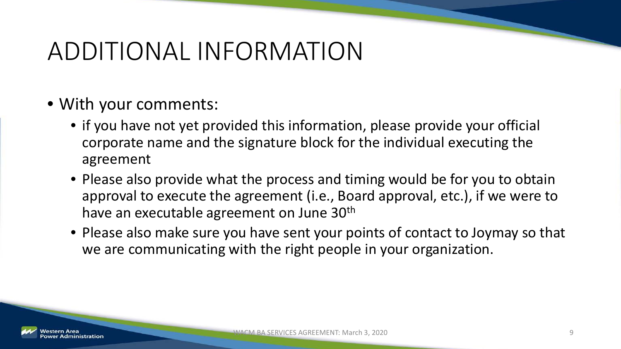### ADDITIONAL INFORMATION

- With your comments:
	- if you have not yet provided this information, please provide your official corporate name and the signature block for the individual executing the agreement
	- Please also provide what the process and timing would be for you to obtain approval to execute the agreement (i.e., Board approval, etc.), if we were to have an executable agreement on June 30<sup>th</sup>
	- Please also make sure you have sent your points of contact to Joymay so that we are communicating with the right people in your organization.

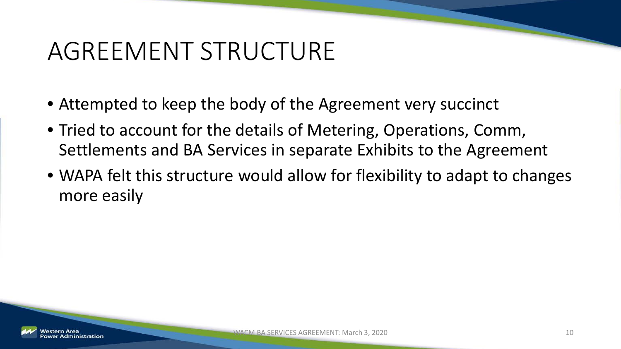### AGREEMENT STRUCTURE

- Attempted to keep the body of the Agreement very succinct
- Tried to account for the details of Metering, Operations, Comm, Settlements and BA Services in separate Exhibits to the Agreement
- WAPA felt this structure would allow for flexibility to adapt to changes more easily

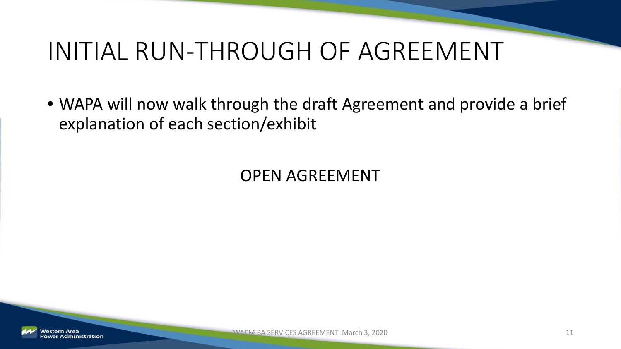### INITIAL RUN-THROUGH OF AGREEMENT

• WAPA will now walk through the draft Agreement and provide a brief explanation of each section/exhibit

OPEN AGREEMENT

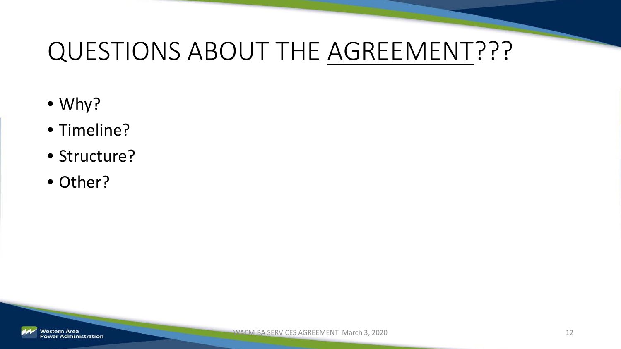### QUESTIONS ABOUT THE AGREEMENT???

- Why?
- Timeline?
- Structure?
- Other?

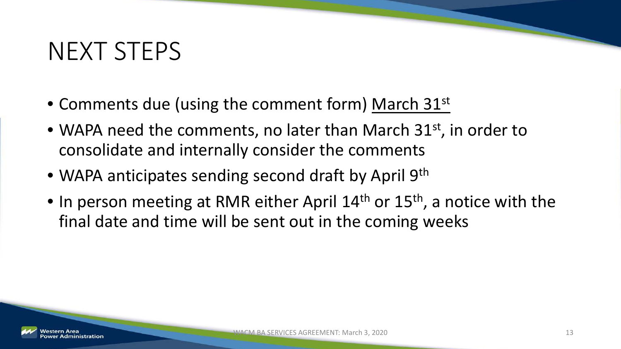### NEXT STEPS

- Comments due (using the comment form) March 31<sup>st</sup>
- WAPA need the comments, no later than March 31<sup>st</sup>, in order to consolidate and internally consider the comments
- WAPA anticipates sending second draft by April 9<sup>th</sup>
- In person meeting at RMR either April  $14<sup>th</sup>$  or  $15<sup>th</sup>$ , a notice with the final date and time will be sent out in the coming weeks

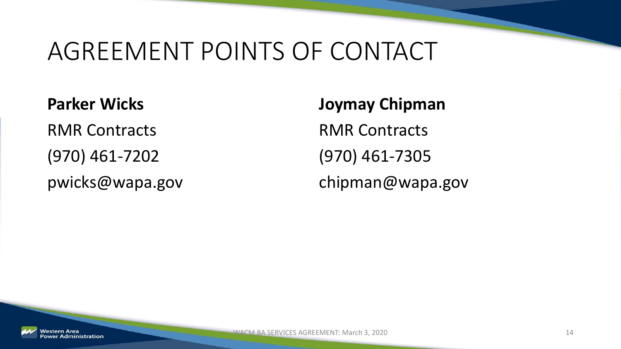### AGREEMENT POINTS OF CONTACT

**Parker Wicks** RMR Contracts (970) 461-7202 pwicks@wapa.gov

**Joymay Chipman** RMR Contracts (970) 461-7305 chipman@wapa.gov

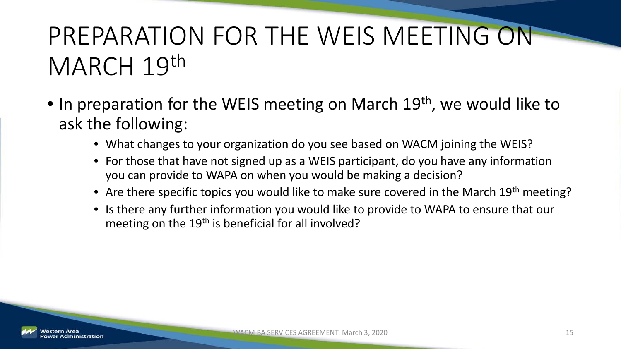## PREPARATION FOR THE WEIS MEETING ON MARCH 19th

- In preparation for the WEIS meeting on March 19<sup>th</sup>, we would like to ask the following:
	- What changes to your organization do you see based on WACM joining the WEIS?
	- For those that have not signed up as a WEIS participant, do you have any information you can provide to WAPA on when you would be making a decision?
	- Are there specific topics you would like to make sure covered in the March 19<sup>th</sup> meeting?
	- Is there any further information you would like to provide to WAPA to ensure that our meeting on the 19<sup>th</sup> is beneficial for all involved?